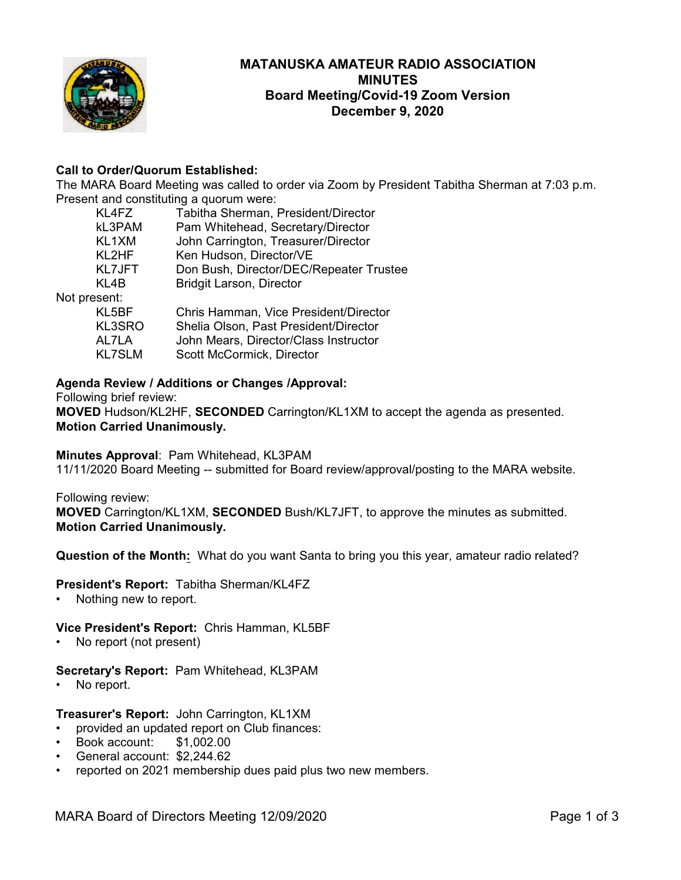

# **MATANUSKA AMATEUR RADIO ASSOCIATION MINUTES Board Meeting/Covid-19 Zoom Version December 9, 2020**

# **Call to Order/Quorum Established:**

The MARA Board Meeting was called to order via Zoom by President Tabitha Sherman at 7:03 p.m. Present and constituting a quorum were:

| KL4FZ         | Tabitha Sherman, President/Director     |
|---------------|-----------------------------------------|
| kL3PAM        | Pam Whitehead, Secretary/Director       |
| KL1XM         | John Carrington, Treasurer/Director     |
| KL2HF         | Ken Hudson, Director/VE                 |
| <b>KL7JFT</b> | Don Bush, Director/DEC/Repeater Trustee |
| KL4B          | <b>Bridgit Larson, Director</b>         |
| Not present:  |                                         |
| KL5BF         | Chris Hamman, Vice President/Director   |
| KL3SRO        | Shelia Olson, Past President/Director   |
| AL7LA         | John Mears, Director/Class Instructor   |
| <b>KL7SLM</b> | Scott McCormick, Director               |

## **Agenda Review / Additions or Changes /Approval:**

Following brief review:

**MOVED** Hudson/KL2HF, **SECONDED** Carrington/KL1XM to accept the agenda as presented. **Motion Carried Unanimously.**

## **Minutes Approval**: Pam Whitehead, KL3PAM

11/11/2020 Board Meeting -- submitted for Board review/approval/posting to the MARA website.

Following review:

**MOVED** Carrington/KL1XM, **SECONDED** Bush/KL7JFT, to approve the minutes as submitted. **Motion Carried Unanimously.**

**Question of the Month:** What do you want Santa to bring you this year, amateur radio related?

## **President's Report:** Tabitha Sherman/KL4FZ

• Nothing new to report.

## **Vice President's Report:** Chris Hamman, KL5BF

• No report (not present)

## **Secretary's Report:** Pam Whitehead, KL3PAM

No report.

## **Treasurer's Report:** John Carrington, KL1XM

- provided an updated report on Club finances:
- Book account: \$1,002.00
- General account: \$2,244.62
- reported on 2021 membership dues paid plus two new members.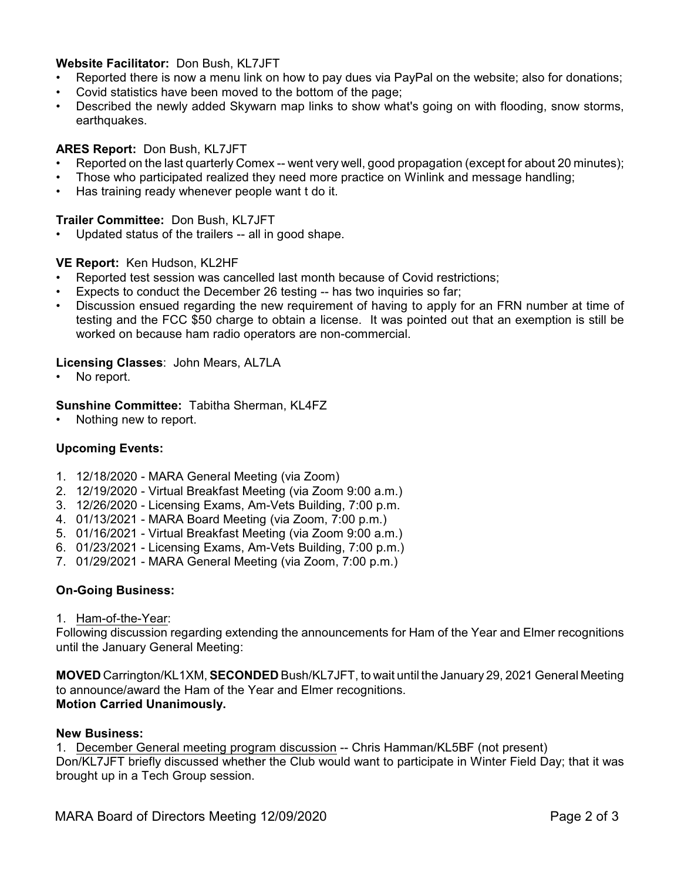# **Website Facilitator:** Don Bush, KL7JFT

- Reported there is now a menu link on how to pay dues via PayPal on the website; also for donations;
- Covid statistics have been moved to the bottom of the page;
- Described the newly added Skywarn map links to show what's going on with flooding, snow storms, earthquakes.

# **ARES Report:** Don Bush, KL7JFT

- Reported on the last quarterly Comex -- went very well, good propagation (except for about 20 minutes);
- Those who participated realized they need more practice on Winlink and message handling;
- Has training ready whenever people want t do it.

# **Trailer Committee:** Don Bush, KL7JFT

• Updated status of the trailers -- all in good shape.

# **VE Report:** Ken Hudson, KL2HF

- Reported test session was cancelled last month because of Covid restrictions;
- Expects to conduct the December 26 testing -- has two inquiries so far;
- Discussion ensued regarding the new requirement of having to apply for an FRN number at time of testing and the FCC \$50 charge to obtain a license. It was pointed out that an exemption is still be worked on because ham radio operators are non-commercial.

# **Licensing Classes**: John Mears, AL7LA

No report.

# **Sunshine Committee:** Tabitha Sherman, KL4FZ

Nothing new to report.

# **Upcoming Events:**

- 1. 12/18/2020 MARA General Meeting (via Zoom)
- 2. 12/19/2020 Virtual Breakfast Meeting (via Zoom 9:00 a.m.)
- 3. 12/26/2020 Licensing Exams, Am-Vets Building, 7:00 p.m.
- 4. 01/13/2021 MARA Board Meeting (via Zoom, 7:00 p.m.)
- 5. 01/16/2021 Virtual Breakfast Meeting (via Zoom 9:00 a.m.)
- 6. 01/23/2021 Licensing Exams, Am-Vets Building, 7:00 p.m.)
- 7. 01/29/2021 MARA General Meeting (via Zoom, 7:00 p.m.)

## **On-Going Business:**

1. Ham-of-the-Year:

Following discussion regarding extending the announcements for Ham of the Year and Elmer recognitions until the January General Meeting:

**MOVED** Carrington/KL1XM, **SECONDED** Bush/KL7JFT, to wait until the January 29, 2021 General Meeting to announce/award the Ham of the Year and Elmer recognitions. **Motion Carried Unanimously.**

## **New Business:**

1. December General meeting program discussion -- Chris Hamman/KL5BF (not present) Don/KL7JFT briefly discussed whether the Club would want to participate in Winter Field Day; that it was brought up in a Tech Group session.